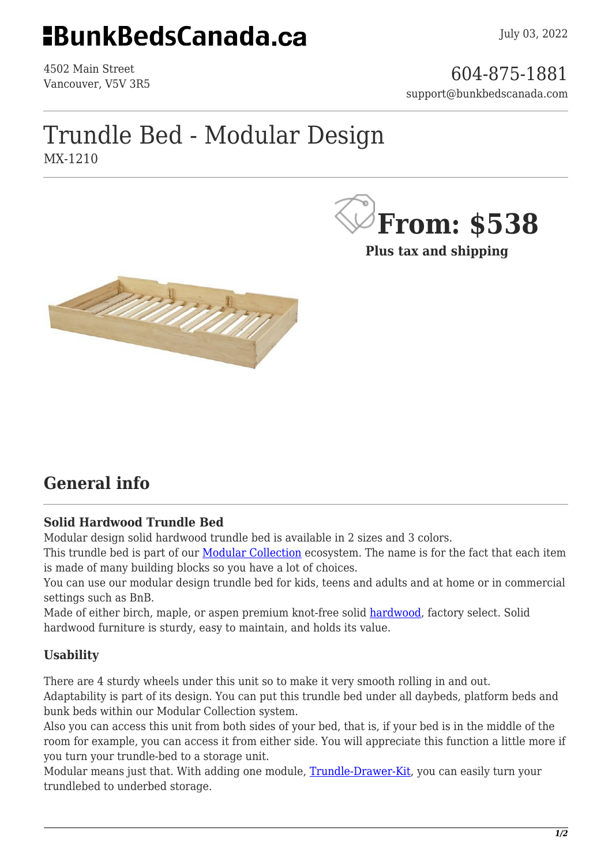## **EBunkBedsCanada.ca**

4502 Main Street

4502 Main Street<br>Vancouver, V5V 3R5 support@bunkbedscanada.com

## Trundle Bed - Modular Design MX-1210



**Plus tax and shipping**



### **General info**

#### **Solid Hardwood Trundle Bed**

Modular design solid hardwood trundle bed is available in 2 sizes and 3 colors.

This trundle bed is part of our **[Modular Collection](https://bunkbedscanada.com/bunk-bed-collections/modular-collection/case-goods.html)** ecosystem. The name is for the fact that each item is made of many building blocks so you have a lot of choices.

You can use our modular design trundle bed for kids, teens and adults and at home or in commercial settings such as BnB.

Made of either birch, maple, or aspen premium knot-free solid [hardwood,](https://en.wikipedia.org/wiki/Hardwood) factory select. Solid hardwood furniture is sturdy, easy to maintain, and holds its value.

#### **Usability**

There are 4 sturdy wheels under this unit so to make it very smooth rolling in and out. Adaptability is part of its design. You can put this trundle bed under all daybeds, platform beds and bunk beds within our Modular Collection system.

Also you can access this unit from both sides of your bed, that is, if your bed is in the middle of the room for example, you can access it from either side. You will appreciate this function a little more if you turn your trundle-bed to a storage unit.

Modular means just that. With adding one module, [Trundle-Drawer-Kit,](https://bunkbedscanada.com/trundle-drawer-seperator-modular-collection-twin-unfinished.html) you can easily turn your trundlebed to underbed storage.